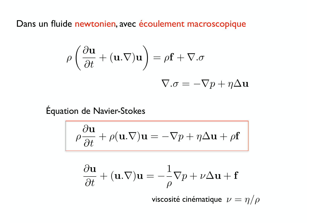Dans un fluide newtonien, avec écoulement macroscopique

$$
\rho \left( \frac{\partial \mathbf{u}}{\partial t} + (\mathbf{u}.\nabla) \mathbf{u} \right) = \rho \mathbf{f} + \nabla \cdot \sigma
$$

$$
\nabla \cdot \sigma = -\nabla p + \eta \Delta \mathbf{u}
$$

Équation de Navier-Stokes

$$
\rho \frac{\partial \mathbf{u}}{\partial t} + \rho(\mathbf{u}.\nabla)\mathbf{u} = -\nabla p + \eta \Delta \mathbf{u} + \rho \mathbf{f}
$$

$$
\frac{\partial \mathbf{u}}{\partial t} + (\mathbf{u}.\nabla)\mathbf{u} = -\frac{1}{\rho} \nabla p + \nu \Delta \mathbf{u} + \mathbf{f}
$$

viscosité cinématique  $\nu = \eta/\rho$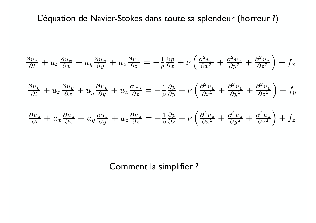L'équation de Navier-Stokes dans toute sa splendeur (horreur ?)

$$
\frac{\partial u_x}{\partial t} + u_x \frac{\partial u_x}{\partial x} + u_y \frac{\partial u_x}{\partial y} + u_z \frac{\partial u_x}{\partial z} = -\frac{1}{\rho} \frac{\partial p}{\partial x} + \nu \left( \frac{\partial^2 u_x}{\partial x^2} + \frac{\partial^2 u_x}{\partial y^2} + \frac{\partial^2 u_x}{\partial z^2} \right) + f_x
$$
  

$$
\frac{\partial u_y}{\partial t} + u_x \frac{\partial u_y}{\partial x} + u_y \frac{\partial u_y}{\partial y} + u_z \frac{\partial u_y}{\partial z} = -\frac{1}{\rho} \frac{\partial p}{\partial y} + \nu \left( \frac{\partial^2 u_y}{\partial x^2} + \frac{\partial^2 u_y}{\partial y^2} + \frac{\partial^2 u_y}{\partial z^2} \right) + f_y
$$
  

$$
\frac{\partial u_z}{\partial t} + u_x \frac{\partial u_z}{\partial x} + u_y \frac{\partial u_z}{\partial y} + u_z \frac{\partial u_z}{\partial z} = -\frac{1}{\rho} \frac{\partial p}{\partial z} + \nu \left( \frac{\partial^2 u_z}{\partial x^2} + \frac{\partial^2 u_z}{\partial y^2} + \frac{\partial^2 u_z}{\partial z^2} \right) + f_z
$$

Comment la simplifier ?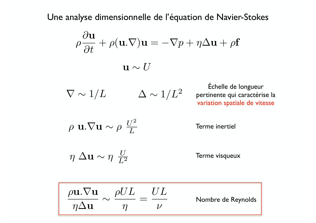Une analyse dimensionnelle de l'équation de Navier-Stokes

$$
\rho \frac{\partial \mathbf{u}}{\partial t} + \rho(\mathbf{u}.\nabla)\mathbf{u} = -\nabla p + \eta \Delta \mathbf{u} + \rho \mathbf{f}
$$
  
\n
$$
\mathbf{u} \sim U
$$
  
\n
$$
\nabla \sim 1/L \qquad \Delta \sim 1/L^2 \qquad \text{Échelle de longueur\npartition partiale de vitesse la\nvariation spatiale de vitesse\n
$$
\rho \mathbf{u}.\nabla \mathbf{u} \sim \rho \frac{U^2}{L} \qquad \text{Termi inertiel}
$$
  
\n
$$
\eta \Delta \mathbf{u} \sim \eta \frac{U}{L^2} \qquad \text{Termi
$$
visqueux
$$

$$
\frac{\rho \mathbf{u}.\nabla \mathbf{u}}{\eta \Delta \mathbf{u}} \sim \frac{\rho UL}{\eta} = \frac{UL}{\nu}
$$
 Nombre de Reynolds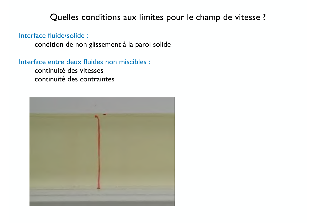#### Quelles conditions aux limites pour le champ de vitesse ?

#### Interface fluide/solide :

condition de non glissement à la paroi solide

Interface entre deux fluides non miscibles :

continuité des vitesses continuité des contraintes

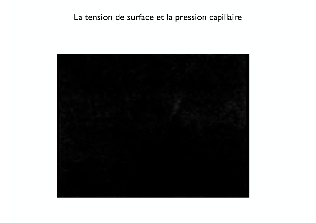## La tension de surface et la pression capillaire

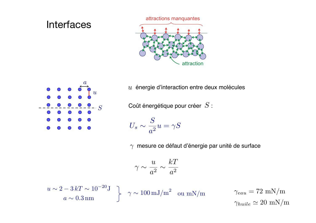## **Interfaces**





*u* énergie d'interaction entre deux molécules

 $\overline{S}$  Coût énergétique pour créer  $S$  :

$$
U_s \sim \frac{S}{a^2}u = \gamma S
$$

 $\gamma$  mesure ce défaut d'énergie par unité de surface

$$
\gamma \sim \frac{u}{a^2} \sim \frac{kT}{a^2}
$$

$$
u \sim 2 - 3 kT \sim 10^{-20} \text{J}
$$
  
\n $a \sim 0.3 \text{ nm}$   
\n
$$
\gamma \sim 100 \text{ mJ/m}^2 \text{ ou mN/m}
$$
  
\n
$$
\gamma_{\text{value}} \simeq 20 \text{ mN/m}
$$
  
\n
$$
\gamma_{\text{hulle}} \simeq 20 \text{ mN/m}
$$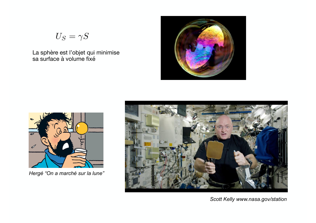$$
U_S=\gamma S
$$

La sphère est l'objet qui minimise sa surface à volume fixé





*Hergé "On a marché sur la lune"*



*Scott Kelly www.nasa.gov/station*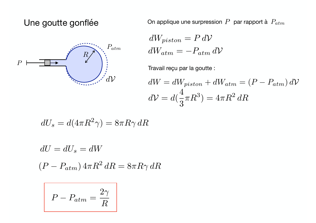*P*

Une goutte gonflée  $\Box$  On applique une surpression  $P$  par rapport à  $P_{atm}$ 



Travail reçu par la goutte :

$$
dW = dW_{piston} + dW_{atm} = (P - P_{atm}) dV
$$

$$
dV = d(\frac{4}{3}\pi R^3) = 4\pi R^2 dR
$$

$$
dU_s = d(4\pi R^2 \gamma) = 8\pi R\gamma \, dR
$$

*R*

*dV*

*Patm*

$$
dU = dU_s = dW
$$

$$
(P - P_{atm}) 4\pi R^2 dR = 8\pi R\gamma dR
$$

$$
P - P_{atm} = \frac{2\gamma}{R}
$$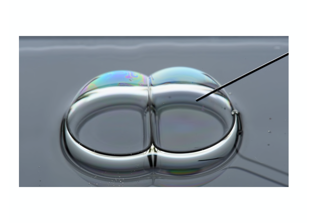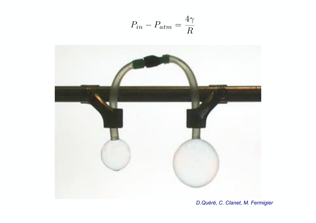$$
P_{in} - P_{atm} = \frac{4\gamma}{R}
$$



D.Quéré, C. Clanet, M. Fermigier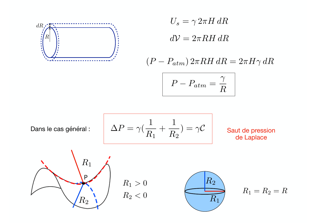

- $U_s = \gamma 2\pi H \, dR$
- $dV = 2\pi RH \, dR$

$$
(P - P_{atm}) 2\pi RH \, dR = 2\pi H \gamma \, dR
$$

$$
P - P_{atm} = \frac{\gamma}{R}
$$

Dans le cas général:

\n
$$
\Delta P = \gamma \left( \frac{1}{R_1} + \frac{1}{R_2} \right) = \gamma \mathcal{C}
$$
\nSaut de pression de Laplace

# de Laplace



$$
R_1 = R_2 = R
$$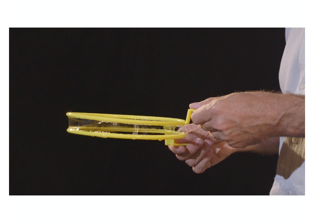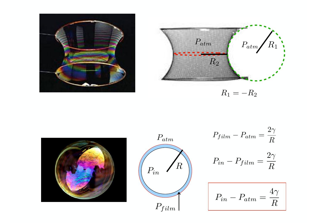







 $P_{film} - P_{atm} =$  $2\gamma$ *R*



 $P_{in} - P_{atm} =$  $4\gamma$ *R*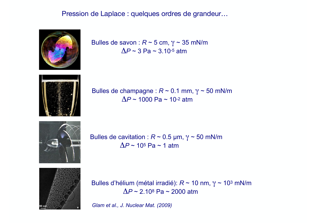Pression de Laplace : quelques ordres de grandeur…



Bulles de savon : *R* ~ 5 cm, γ ~ 35 mN/m Δ*P* ~ 3 Pa ~ 3.10-5 atm



Bulles de champagne :  $R \sim 0.1$  mm,  $\gamma \sim 50$  mN/m Δ*P* ~ 1000 Pa ~ 10-2 atm



Bulles de cavitation :  $R \sim 0.5$  μm,  $\gamma \sim 50$  mN/m Δ*P* ~ 105 Pa ~ 1 atm



Bulles d'hélium (métal irradié): *R* ~ 10 nm, γ ~ 103 mN/m Δ*P* ~ 2.108 Pa ~ 2000 atm

*Glam et al., J. Nuclear Mat. (2009)*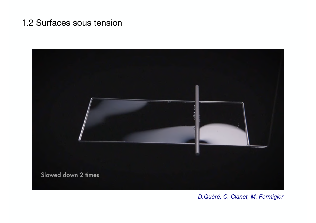#### 1.2 Surfaces sous tension



*D.Quéré, C. Clanet, M. Fermigier*